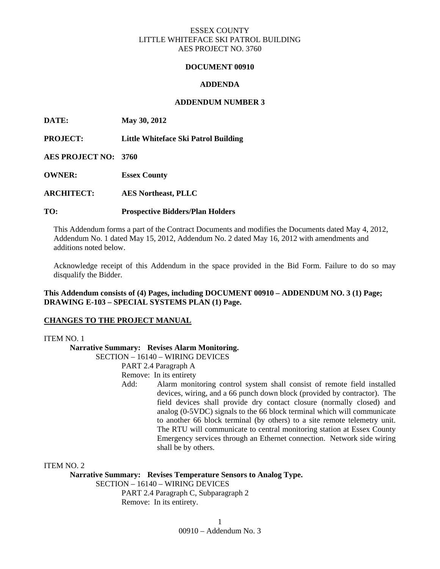# ESSEX COUNTY LITTLE WHITEFACE SKI PATROL BUILDING AES PROJECT NO. 3760

### **DOCUMENT 00910**

## **ADDENDA**

## **ADDENDUM NUMBER 3**

**DATE: May 30, 2012** 

**PROJECT: Little Whiteface Ski Patrol Building** 

**AES PROJECT NO: 3760** 

**OWNER: Essex County** 

**ARCHITECT: AES Northeast, PLLC** 

## **TO: Prospective Bidders/Plan Holders**

This Addendum forms a part of the Contract Documents and modifies the Documents dated May 4, 2012, Addendum No. 1 dated May 15, 2012, Addendum No. 2 dated May 16, 2012 with amendments and additions noted below.

Acknowledge receipt of this Addendum in the space provided in the Bid Form. Failure to do so may disqualify the Bidder.

# **This Addendum consists of (4) Pages, including DOCUMENT 00910 – ADDENDUM NO. 3 (1) Page; DRAWING E-103 – SPECIAL SYSTEMS PLAN (1) Page.**

### **CHANGES TO THE PROJECT MANUAL**

#### ITEM NO. 1

**Narrative Summary: Revises Alarm Monitoring.** 

SECTION – 16140 – WIRING DEVICES

PART 2.4 Paragraph A

Remove: In its entirety

 Add: Alarm monitoring control system shall consist of remote field installed devices, wiring, and a 66 punch down block (provided by contractor). The field devices shall provide dry contact closure (normally closed) and analog (0-5VDC) signals to the 66 block terminal which will communicate to another 66 block terminal (by others) to a site remote telemetry unit. The RTU will communicate to central monitoring station at Essex County Emergency services through an Ethernet connection. Network side wiring shall be by others.

ITEM NO. 2

**Narrative Summary: Revises Temperature Sensors to Analog Type.** 

SECTION – 16140 – WIRING DEVICES

 PART 2.4 Paragraph C, Subparagraph 2 Remove: In its entirety.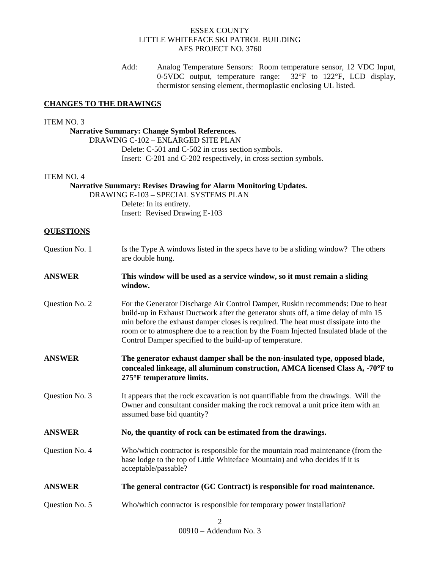## ESSEX COUNTY LITTLE WHITEFACE SKI PATROL BUILDING AES PROJECT NO. 3760

 Add: Analog Temperature Sensors: Room temperature sensor, 12 VDC Input, 0-5VDC output, temperature range: 32°F to 122°F, LCD display, thermistor sensing element, thermoplastic enclosing UL listed.

## **CHANGES TO THE DRAWINGS**

#### ITEM NO. 3

# **Narrative Summary: Change Symbol References.**

 DRAWING C-102 – ENLARGED SITE PLAN Delete: C-501 and C-502 in cross section symbols. Insert: C-201 and C-202 respectively, in cross section symbols.

#### ITEM NO. 4

 **Narrative Summary: Revises Drawing for Alarm Monitoring Updates.**  DRAWING E-103 – SPECIAL SYSTEMS PLAN Delete: In its entirety. Insert: Revised Drawing E-103

#### **QUESTIONS**

| Question No. 1 | Is the Type A windows listed in the specs have to be a sliding window? The others<br>are double hung.                                                                                                                                                                                                                                                                                                         |
|----------------|---------------------------------------------------------------------------------------------------------------------------------------------------------------------------------------------------------------------------------------------------------------------------------------------------------------------------------------------------------------------------------------------------------------|
| <b>ANSWER</b>  | This window will be used as a service window, so it must remain a sliding<br>window.                                                                                                                                                                                                                                                                                                                          |
| Question No. 2 | For the Generator Discharge Air Control Damper, Ruskin recommends: Due to heat<br>build-up in Exhaust Ductwork after the generator shuts off, a time delay of min 15<br>min before the exhaust damper closes is required. The heat must dissipate into the<br>room or to atmosphere due to a reaction by the Foam Injected Insulated blade of the<br>Control Damper specified to the build-up of temperature. |
| <b>ANSWER</b>  | The generator exhaust damper shall be the non-insulated type, opposed blade,<br>concealed linkeage, all aluminum construction, AMCA licensed Class A, -70°F to<br>275°F temperature limits.                                                                                                                                                                                                                   |
| Question No. 3 | It appears that the rock excavation is not quantifiable from the drawings. Will the<br>Owner and consultant consider making the rock removal a unit price item with an<br>assumed base bid quantity?                                                                                                                                                                                                          |
| <b>ANSWER</b>  | No, the quantity of rock can be estimated from the drawings.                                                                                                                                                                                                                                                                                                                                                  |
| Question No. 4 | Who/which contractor is responsible for the mountain road maintenance (from the<br>base lodge to the top of Little Whiteface Mountain) and who decides if it is<br>acceptable/passable?                                                                                                                                                                                                                       |
| <b>ANSWER</b>  | The general contractor (GC Contract) is responsible for road maintenance.                                                                                                                                                                                                                                                                                                                                     |
| Question No. 5 | Who/which contractor is responsible for temporary power installation?                                                                                                                                                                                                                                                                                                                                         |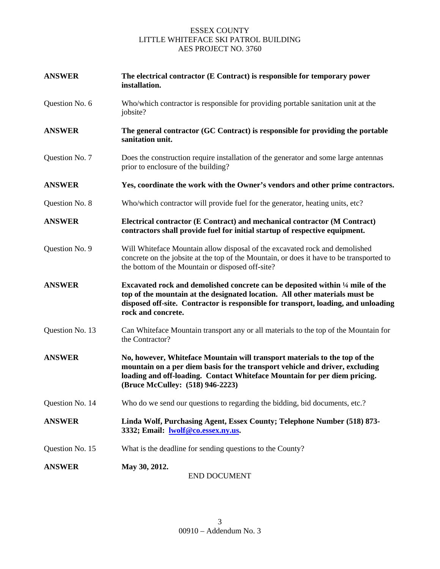# ESSEX COUNTY LITTLE WHITEFACE SKI PATROL BUILDING AES PROJECT NO. 3760

| <b>ANSWER</b>   | The electrical contractor (E Contract) is responsible for temporary power<br>installation.                                                                                                                                                                                  |
|-----------------|-----------------------------------------------------------------------------------------------------------------------------------------------------------------------------------------------------------------------------------------------------------------------------|
| Question No. 6  | Who/which contractor is responsible for providing portable sanitation unit at the<br>jobsite?                                                                                                                                                                               |
| <b>ANSWER</b>   | The general contractor (GC Contract) is responsible for providing the portable<br>sanitation unit.                                                                                                                                                                          |
| Question No. 7  | Does the construction require installation of the generator and some large antennas<br>prior to enclosure of the building?                                                                                                                                                  |
| <b>ANSWER</b>   | Yes, coordinate the work with the Owner's vendors and other prime contractors.                                                                                                                                                                                              |
| Question No. 8  | Who/which contractor will provide fuel for the generator, heating units, etc?                                                                                                                                                                                               |
| <b>ANSWER</b>   | Electrical contractor (E Contract) and mechanical contractor (M Contract)<br>contractors shall provide fuel for initial startup of respective equipment.                                                                                                                    |
| Question No. 9  | Will Whiteface Mountain allow disposal of the excavated rock and demolished<br>concrete on the jobsite at the top of the Mountain, or does it have to be transported to<br>the bottom of the Mountain or disposed off-site?                                                 |
| <b>ANSWER</b>   | Excavated rock and demolished concrete can be deposited within 1/4 mile of the<br>top of the mountain at the designated location. All other materials must be<br>disposed off-site. Contractor is responsible for transport, loading, and unloading<br>rock and concrete.   |
| Question No. 13 | Can Whiteface Mountain transport any or all materials to the top of the Mountain for<br>the Contractor?                                                                                                                                                                     |
| <b>ANSWER</b>   | No, however, Whiteface Mountain will transport materials to the top of the<br>mountain on a per diem basis for the transport vehicle and driver, excluding<br>loading and off-loading. Contact Whiteface Mountain for per diem pricing.<br>(Bruce McCulley: (518) 946-2223) |
| Question No. 14 | Who do we send our questions to regarding the bidding, bid documents, etc.?                                                                                                                                                                                                 |
| <b>ANSWER</b>   | Linda Wolf, Purchasing Agent, Essex County; Telephone Number (518) 873-<br>3332; Email: lwolf@co.essex.ny.us.                                                                                                                                                               |
| Question No. 15 | What is the deadline for sending questions to the County?                                                                                                                                                                                                                   |
| <b>ANSWER</b>   | May 30, 2012.<br><b>END DOCUMENT</b>                                                                                                                                                                                                                                        |